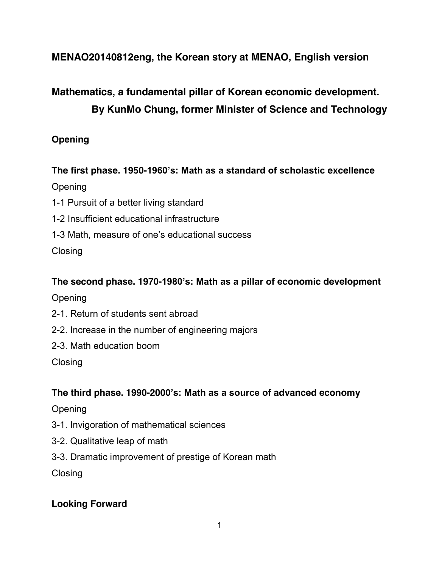# **MENAO20140812eng, the Korean story at MENAO, English version**

# **Mathematics, a fundamental pillar of Korean economic development. By KunMo Chung, former Minister of Science and Technology**

# **Opening**

**The first phase. 1950-1960's: Math as a standard of scholastic excellence Opening** 

- 1-1 Pursuit of a better living standard
- 1-2 Insufficient educational infrastructure
- 1-3 Math, measure of one's educational success

**Closing** 

## **The second phase. 1970-1980's: Math as a pillar of economic development**

Opening

- 2-1. Return of students sent abroad
- 2-2. Increase in the number of engineering majors
- 2-3. Math education boom

**Closing** 

# **The third phase. 1990-2000's: Math as a source of advanced economy**

## **Opening**

- 3-1. Invigoration of mathematical sciences
- 3-2. Qualitative leap of math
- 3-3. Dramatic improvement of prestige of Korean math

**Closing** 

# **Looking Forward**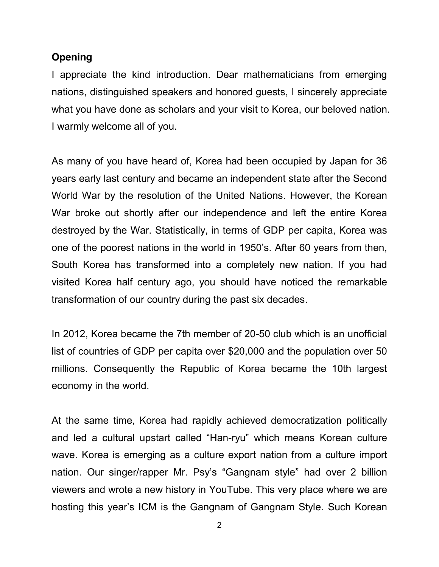### **Opening**

I appreciate the kind introduction. Dear mathematicians from emerging nations, distinguished speakers and honored guests, I sincerely appreciate what you have done as scholars and your visit to Korea, our beloved nation. I warmly welcome all of you.

As many of you have heard of, Korea had been occupied by Japan for 36 years early last century and became an independent state after the Second World War by the resolution of the United Nations. However, the Korean War broke out shortly after our independence and left the entire Korea destroyed by the War. Statistically, in terms of GDP per capita, Korea was one of the poorest nations in the world in 1950's. After 60 years from then, South Korea has transformed into a completely new nation. If you had visited Korea half century ago, you should have noticed the remarkable transformation of our country during the past six decades.

In 2012, Korea became the 7th member of 20-50 club which is an unofficial list of countries of GDP per capita over \$20,000 and the population over 50 millions. Consequently the Republic of Korea became the 10th largest economy in the world.

At the same time, Korea had rapidly achieved democratization politically and led a cultural upstart called "Han-ryu" which means Korean culture wave. Korea is emerging as a culture export nation from a culture import nation. Our singer/rapper Mr. Psy's "Gangnam style" had over 2 billion viewers and wrote a new history in YouTube. This very place where we are hosting this year's ICM is the Gangnam of Gangnam Style. Such Korean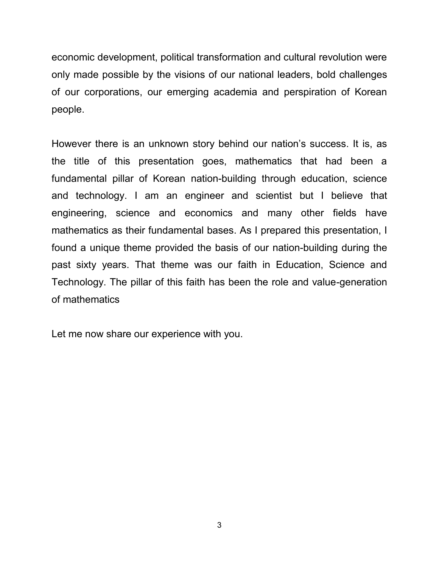economic development, political transformation and cultural revolution were only made possible by the visions of our national leaders, bold challenges of our corporations, our emerging academia and perspiration of Korean people.

However there is an unknown story behind our nation's success. It is, as the title of this presentation goes, mathematics that had been a fundamental pillar of Korean nation-building through education, science and technology. I am an engineer and scientist but I believe that engineering, science and economics and many other fields have mathematics as their fundamental bases. As I prepared this presentation, I found a unique theme provided the basis of our nation-building during the past sixty years. That theme was our faith in Education, Science and Technology. The pillar of this faith has been the role and value-generation of mathematics

Let me now share our experience with you.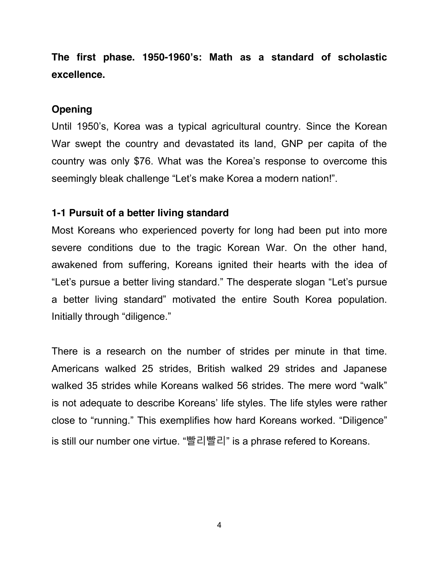**The first phase. 1950-1960's: Math as a standard of scholastic excellence.**

## **Opening**

Until 1950's, Korea was a typical agricultural country. Since the Korean War swept the country and devastated its land, GNP per capita of the country was only \$76. What was the Korea's response to overcome this seemingly bleak challenge "Let's make Korea a modern nation!".

## **1-1 Pursuit of a better living standard**

Most Koreans who experienced poverty for long had been put into more severe conditions due to the tragic Korean War. On the other hand, awakened from suffering, Koreans ignited their hearts with the idea of "Let's pursue a better living standard." The desperate slogan "Let's pursue a better living standard" motivated the entire South Korea population. Initially through "diligence."

There is a research on the number of strides per minute in that time. Americans walked 25 strides, British walked 29 strides and Japanese walked 35 strides while Koreans walked 56 strides. The mere word "walk" is not adequate to describe Koreans' life styles. The life styles were rather close to "running." This exemplifies how hard Koreans worked. "Diligence" is still our number one virtue. "빨리빨리" is a phrase refered to Koreans.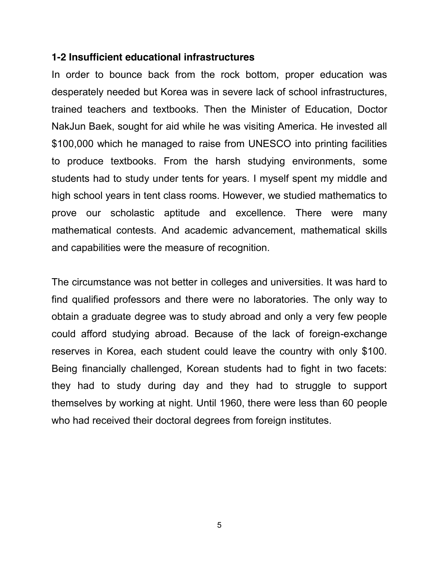## **1-2 Insufficient educational infrastructures**

In order to bounce back from the rock bottom, proper education was desperately needed but Korea was in severe lack of school infrastructures, trained teachers and textbooks. Then the Minister of Education, Doctor NakJun Baek, sought for aid while he was visiting America. He invested all \$100,000 which he managed to raise from UNESCO into printing facilities to produce textbooks. From the harsh studying environments, some students had to study under tents for years. I myself spent my middle and high school years in tent class rooms. However, we studied mathematics to prove our scholastic aptitude and excellence. There were many mathematical contests. And academic advancement, mathematical skills and capabilities were the measure of recognition.

The circumstance was not better in colleges and universities. It was hard to find qualified professors and there were no laboratories. The only way to obtain a graduate degree was to study abroad and only a very few people could afford studying abroad. Because of the lack of foreign-exchange reserves in Korea, each student could leave the country with only \$100. Being financially challenged, Korean students had to fight in two facets: they had to study during day and they had to struggle to support themselves by working at night. Until 1960, there were less than 60 people who had received their doctoral degrees from foreign institutes.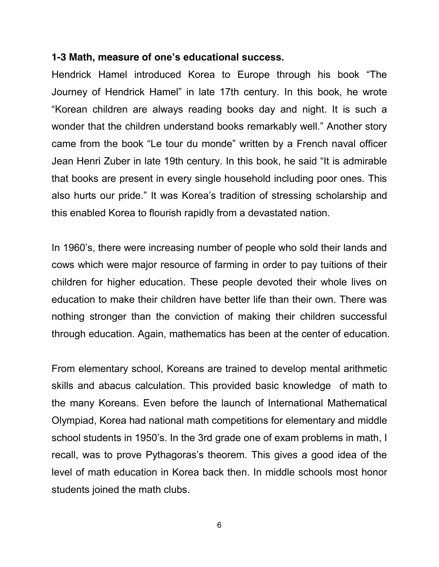### **1-3 Math, measure of one's educational success.**

Hendrick Hamel introduced Korea to Europe through his book "The Journey of Hendrick Hamel" in late 17th century. In this book, he wrote "Korean children are always reading books day and night. It is such a wonder that the children understand books remarkably well." Another story came from the book "Le tour du monde" written by a French naval officer Jean Henri Zuber in late 19th century. In this book, he said "It is admirable that books are present in every single household including poor ones. This also hurts our pride." It was Korea's tradition of stressing scholarship and this enabled Korea to flourish rapidly from a devastated nation.

In 1960's, there were increasing number of people who sold their lands and cows which were major resource of farming in order to pay tuitions of their children for higher education. These people devoted their whole lives on education to make their children have better life than their own. There was nothing stronger than the conviction of making their children successful through education. Again, mathematics has been at the center of education.

From elementary school, Koreans are trained to develop mental arithmetic skills and abacus calculation. This provided basic knowledge of math to the many Koreans. Even before the launch of International Mathematical Olympiad, Korea had national math competitions for elementary and middle school students in 1950's. In the 3rd grade one of exam problems in math, I recall, was to prove Pythagoras's theorem. This gives a good idea of the level of math education in Korea back then. In middle schools most honor students joined the math clubs.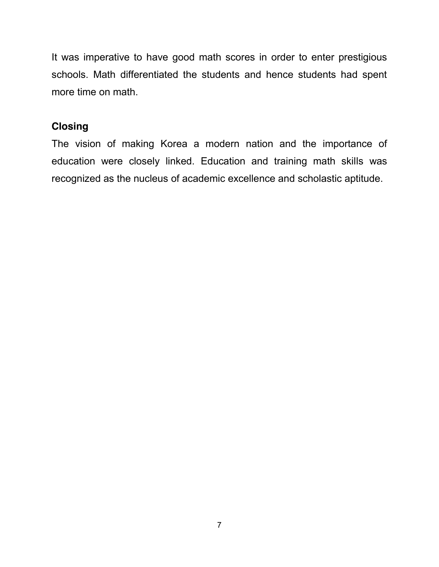It was imperative to have good math scores in order to enter prestigious schools. Math differentiated the students and hence students had spent more time on math.

# **Closing**

The vision of making Korea a modern nation and the importance of education were closely linked. Education and training math skills was recognized as the nucleus of academic excellence and scholastic aptitude.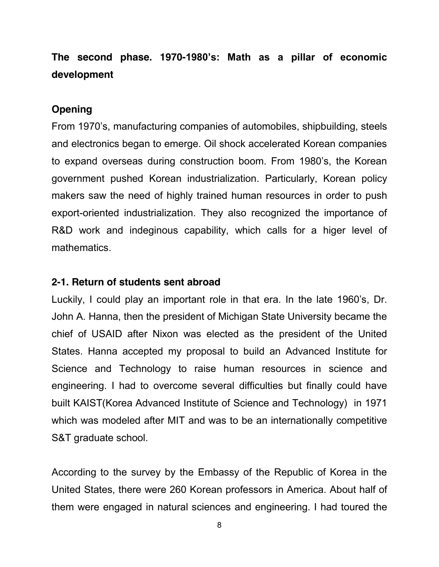# **The second phase. 1970-1980's: Math as a pillar of economic development**

# **Opening**

From 1970's, manufacturing companies of automobiles, shipbuilding, steels and electronics began to emerge. Oil shock accelerated Korean companies to expand overseas during construction boom. From 1980's, the Korean government pushed Korean industrialization. Particularly, Korean policy makers saw the need of highly trained human resources in order to push export-oriented industrialization. They also recognized the importance of R&D work and indeginous capability, which calls for a higer level of mathematics.

## **2-1. Return of students sent abroad**

Luckily, I could play an important role in that era. In the late 1960's, Dr. John A. Hanna, then the president of Michigan State University became the chief of USAID after Nixon was elected as the president of the United States. Hanna accepted my proposal to build an Advanced Institute for Science and Technology to raise human resources in science and engineering. I had to overcome several difficulties but finally could have built KAIST(Korea Advanced Institute of Science and Technology) in 1971 which was modeled after MIT and was to be an internationally competitive S&T graduate school.

According to the survey by the Embassy of the Republic of Korea in the United States, there were 260 Korean professors in America. About half of them were engaged in natural sciences and engineering. I had toured the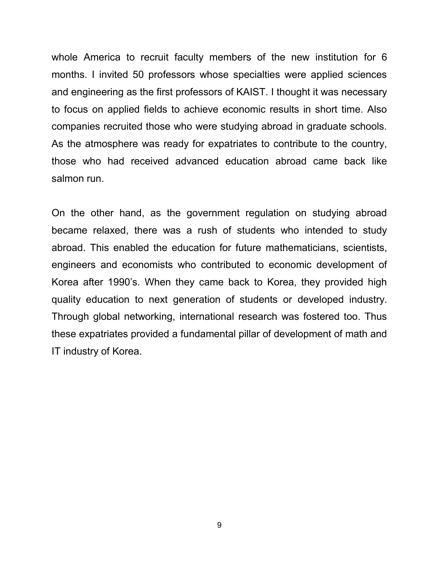whole America to recruit faculty members of the new institution for 6 months. I invited 50 professors whose specialties were applied sciences and engineering as the first professors of KAIST. I thought it was necessary to focus on applied fields to achieve economic results in short time. Also companies recruited those who were studying abroad in graduate schools. As the atmosphere was ready for expatriates to contribute to the country, those who had received advanced education abroad came back like salmon run.

On the other hand, as the government regulation on studying abroad became relaxed, there was a rush of students who intended to study abroad. This enabled the education for future mathematicians, scientists, engineers and economists who contributed to economic development of Korea after 1990's. When they came back to Korea, they provided high quality education to next generation of students or developed industry. Through global networking, international research was fostered too. Thus these expatriates provided a fundamental pillar of development of math and IT industry of Korea.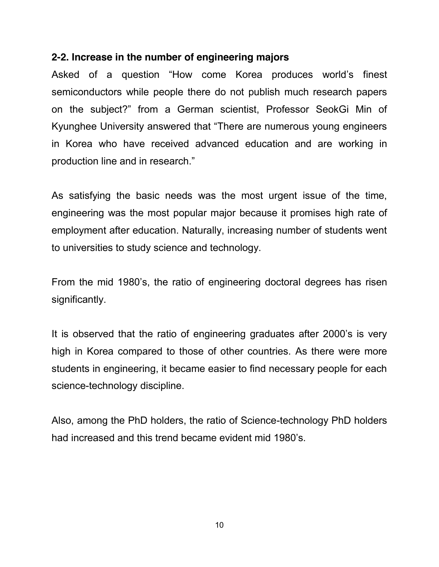## **2-2. Increase in the number of engineering majors**

Asked of a question "How come Korea produces world's finest semiconductors while people there do not publish much research papers on the subject?" from a German scientist, Professor SeokGi Min of Kyunghee University answered that "There are numerous young engineers in Korea who have received advanced education and are working in production line and in research."

As satisfying the basic needs was the most urgent issue of the time, engineering was the most popular major because it promises high rate of employment after education. Naturally, increasing number of students went to universities to study science and technology.

From the mid 1980's, the ratio of engineering doctoral degrees has risen significantly.

It is observed that the ratio of engineering graduates after 2000's is very high in Korea compared to those of other countries. As there were more students in engineering, it became easier to find necessary people for each science-technology discipline.

Also, among the PhD holders, the ratio of Science-technology PhD holders had increased and this trend became evident mid 1980's.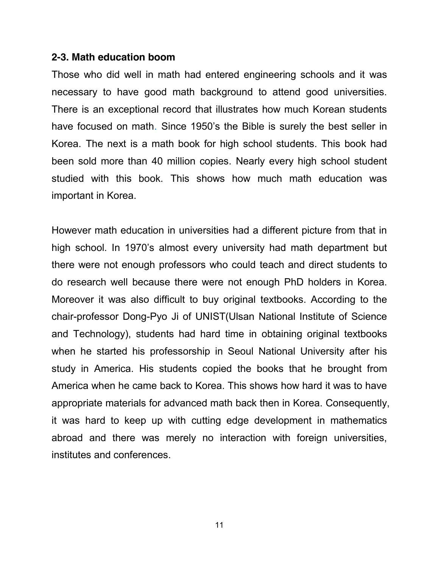#### **2-3. Math education boom**

Those who did well in math had entered engineering schools and it was necessary to have good math background to attend good universities. There is an exceptional record that illustrates how much Korean students have focused on math. Since 1950's the Bible is surely the best seller in Korea. The next is a math book for high school students. This book had been sold more than 40 million copies. Nearly every high school student studied with this book. This shows how much math education was important in Korea.

However math education in universities had a different picture from that in high school. In 1970's almost every university had math department but there were not enough professors who could teach and direct students to do research well because there were not enough PhD holders in Korea. Moreover it was also difficult to buy original textbooks. According to the chair-professor Dong-Pyo Ji of UNIST(Ulsan National Institute of Science and Technology), students had hard time in obtaining original textbooks when he started his professorship in Seoul National University after his study in America. His students copied the books that he brought from America when he came back to Korea. This shows how hard it was to have appropriate materials for advanced math back then in Korea. Consequently, it was hard to keep up with cutting edge development in mathematics abroad and there was merely no interaction with foreign universities, institutes and conferences.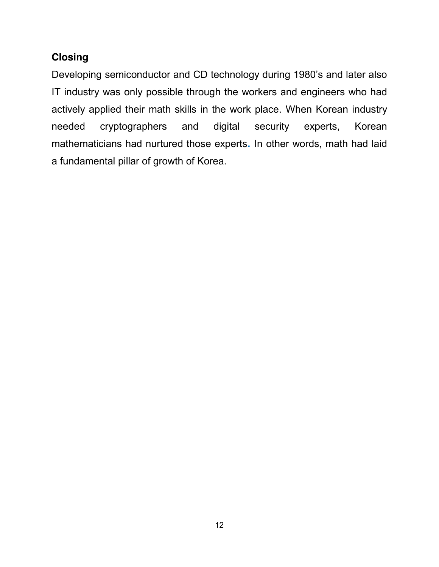# **Closing**

Developing semiconductor and CD technology during 1980's and later also IT industry was only possible through the workers and engineers who had actively applied their math skills in the work place. When Korean industry needed cryptographers and digital security experts, Korean mathematicians had nurtured those experts**.** In other words, math had laid a fundamental pillar of growth of Korea.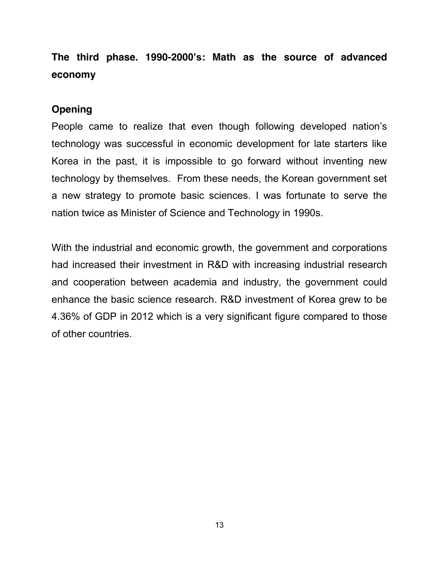**The third phase. 1990-2000's: Math as the source of advanced economy**

# **Opening**

People came to realize that even though following developed nation's technology was successful in economic development for late starters like Korea in the past, it is impossible to go forward without inventing new technology by themselves. From these needs, the Korean government set a new strategy to promote basic sciences. I was fortunate to serve the nation twice as Minister of Science and Technology in 1990s.

With the industrial and economic growth, the government and corporations had increased their investment in R&D with increasing industrial research and cooperation between academia and industry, the government could enhance the basic science research. R&D investment of Korea grew to be 4.36% of GDP in 2012 which is a very significant figure compared to those of other countries.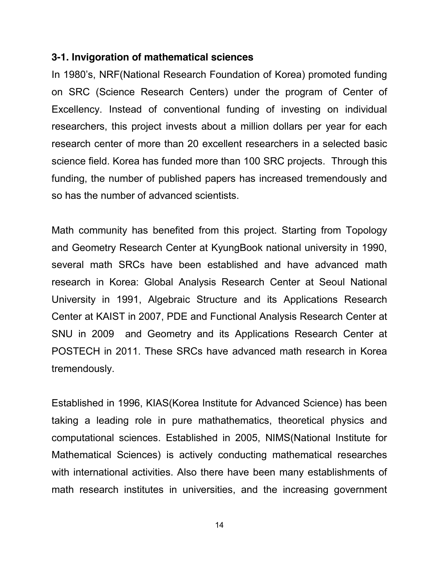### **3-1. Invigoration of mathematical sciences**

In 1980's, NRF(National Research Foundation of Korea) promoted funding on SRC (Science Research Centers) under the program of Center of Excellency. Instead of conventional funding of investing on individual researchers, this project invests about a million dollars per year for each research center of more than 20 excellent researchers in a selected basic science field. Korea has funded more than 100 SRC projects. Through this funding, the number of published papers has increased tremendously and so has the number of advanced scientists.

Math community has benefited from this project. Starting from Topology and Geometry Research Center at KyungBook national university in 1990, several math SRCs have been established and have advanced math research in Korea: Global Analysis Research Center at Seoul National University in 1991, Algebraic Structure and its Applications Research Center at KAIST in 2007, PDE and Functional Analysis Research Center at SNU in 2009 and Geometry and its Applications Research Center at POSTECH in 2011. These SRCs have advanced math research in Korea tremendously.

Established in 1996, KIAS(Korea Institute for Advanced Science) has been taking a leading role in pure mathathematics, theoretical physics and computational sciences. Established in 2005, NIMS(National Institute for Mathematical Sciences) is actively conducting mathematical researches with international activities. Also there have been many establishments of math research institutes in universities, and the increasing government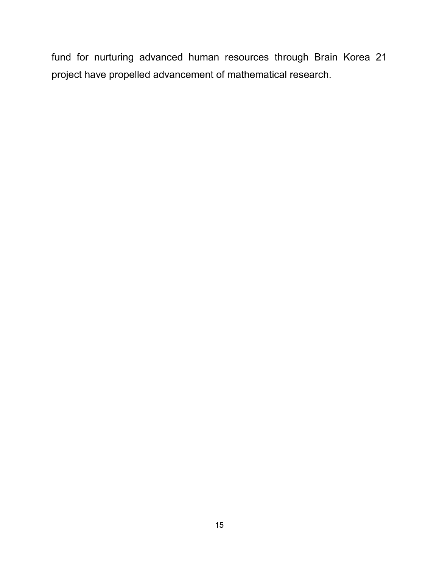fund for nurturing advanced human resources through Brain Korea 21 project have propelled advancement of mathematical research.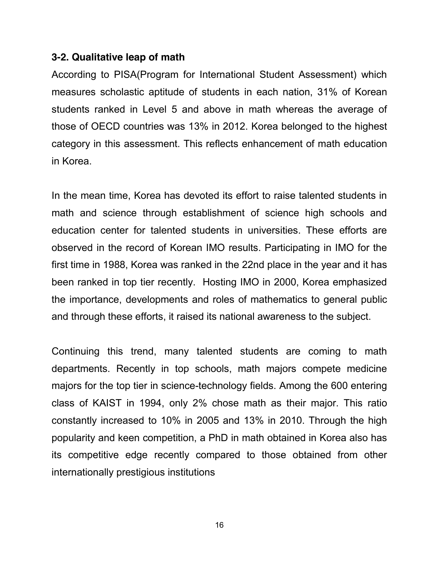## **3-2. Qualitative leap of math**

According to PISA(Program for International Student Assessment) which measures scholastic aptitude of students in each nation, 31% of Korean students ranked in Level 5 and above in math whereas the average of those of OECD countries was 13% in 2012. Korea belonged to the highest category in this assessment. This reflects enhancement of math education in Korea.

In the mean time, Korea has devoted its effort to raise talented students in math and science through establishment of science high schools and education center for talented students in universities. These efforts are observed in the record of Korean IMO results. Participating in IMO for the first time in 1988, Korea was ranked in the 22nd place in the year and it has been ranked in top tier recently. Hosting IMO in 2000, Korea emphasized the importance, developments and roles of mathematics to general public and through these efforts, it raised its national awareness to the subject.

Continuing this trend, many talented students are coming to math departments. Recently in top schools, math majors compete medicine majors for the top tier in science-technology fields. Among the 600 entering class of KAIST in 1994, only 2% chose math as their major. This ratio constantly increased to 10% in 2005 and 13% in 2010. Through the high popularity and keen competition, a PhD in math obtained in Korea also has its competitive edge recently compared to those obtained from other internationally prestigious institutions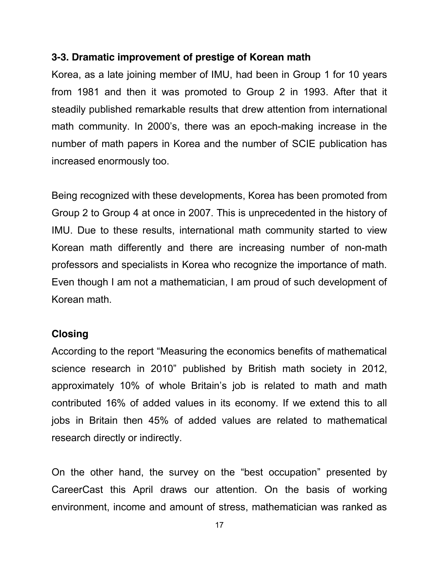## **3-3. Dramatic improvement of prestige of Korean math**

Korea, as a late joining member of IMU, had been in Group 1 for 10 years from 1981 and then it was promoted to Group 2 in 1993. After that it steadily published remarkable results that drew attention from international math community. In 2000's, there was an epoch-making increase in the number of math papers in Korea and the number of SCIE publication has increased enormously too.

Being recognized with these developments, Korea has been promoted from Group 2 to Group 4 at once in 2007. This is unprecedented in the history of IMU. Due to these results, international math community started to view Korean math differently and there are increasing number of non-math professors and specialists in Korea who recognize the importance of math. Even though I am not a mathematician, I am proud of such development of Korean math.

### **Closing**

According to the report "Measuring the economics benefits of mathematical science research in 2010" published by British math society in 2012, approximately 10% of whole Britain's job is related to math and math contributed 16% of added values in its economy. If we extend this to all jobs in Britain then 45% of added values are related to mathematical research directly or indirectly.

On the other hand, the survey on the "best occupation" presented by CareerCast this April draws our attention. On the basis of working environment, income and amount of stress, mathematician was ranked as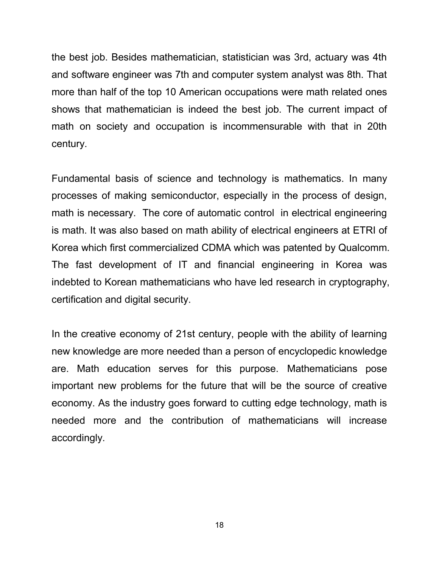the best job. Besides mathematician, statistician was 3rd, actuary was 4th and software engineer was 7th and computer system analyst was 8th. That more than half of the top 10 American occupations were math related ones shows that mathematician is indeed the best job. The current impact of math on society and occupation is incommensurable with that in 20th century.

Fundamental basis of science and technology is mathematics. In many processes of making semiconductor, especially in the process of design, math is necessary. The core of automatic control in electrical engineering is math. It was also based on math ability of electrical engineers at ETRI of Korea which first commercialized CDMA which was patented by Qualcomm. The fast development of IT and financial engineering in Korea was indebted to Korean mathematicians who have led research in cryptography, certification and digital security.

In the creative economy of 21st century, people with the ability of learning new knowledge are more needed than a person of encyclopedic knowledge are. Math education serves for this purpose. Mathematicians pose important new problems for the future that will be the source of creative economy. As the industry goes forward to cutting edge technology, math is needed more and the contribution of mathematicians will increase accordingly.